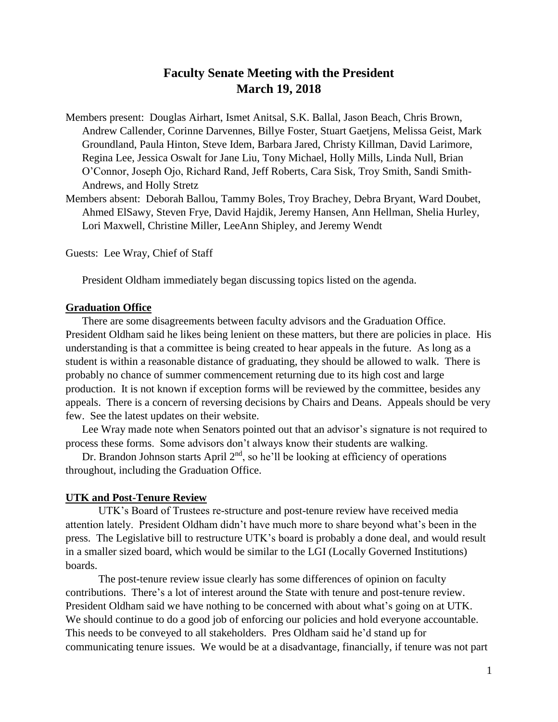# **Faculty Senate Meeting with the President March 19, 2018**

- Members present: Douglas Airhart, Ismet Anitsal, S.K. Ballal, Jason Beach, Chris Brown, Andrew Callender, Corinne Darvennes, Billye Foster, Stuart Gaetjens, Melissa Geist, Mark Groundland, Paula Hinton, Steve Idem, Barbara Jared, Christy Killman, David Larimore, Regina Lee, Jessica Oswalt for Jane Liu, Tony Michael, Holly Mills, Linda Null, Brian O'Connor, Joseph Ojo, Richard Rand, Jeff Roberts, Cara Sisk, Troy Smith, Sandi Smith-Andrews, and Holly Stretz
- Members absent: Deborah Ballou, Tammy Boles, Troy Brachey, Debra Bryant, Ward Doubet, Ahmed ElSawy, Steven Frye, David Hajdik, Jeremy Hansen, Ann Hellman, Shelia Hurley, Lori Maxwell, Christine Miller, LeeAnn Shipley, and Jeremy Wendt

Guests: Lee Wray, Chief of Staff

President Oldham immediately began discussing topics listed on the agenda.

### **Graduation Office**

There are some disagreements between faculty advisors and the Graduation Office. President Oldham said he likes being lenient on these matters, but there are policies in place. His understanding is that a committee is being created to hear appeals in the future. As long as a student is within a reasonable distance of graduating, they should be allowed to walk. There is probably no chance of summer commencement returning due to its high cost and large production. It is not known if exception forms will be reviewed by the committee, besides any appeals. There is a concern of reversing decisions by Chairs and Deans. Appeals should be very few. See the latest updates on their website.

Lee Wray made note when Senators pointed out that an advisor's signature is not required to process these forms. Some advisors don't always know their students are walking.

Dr. Brandon Johnson starts April  $2<sup>nd</sup>$ , so he'll be looking at efficiency of operations throughout, including the Graduation Office.

### **UTK and Post-Tenure Review**

UTK's Board of Trustees re-structure and post-tenure review have received media attention lately. President Oldham didn't have much more to share beyond what's been in the press. The Legislative bill to restructure UTK's board is probably a done deal, and would result in a smaller sized board, which would be similar to the LGI (Locally Governed Institutions) boards.

The post-tenure review issue clearly has some differences of opinion on faculty contributions. There's a lot of interest around the State with tenure and post-tenure review. President Oldham said we have nothing to be concerned with about what's going on at UTK. We should continue to do a good job of enforcing our policies and hold everyone accountable. This needs to be conveyed to all stakeholders. Pres Oldham said he'd stand up for communicating tenure issues. We would be at a disadvantage, financially, if tenure was not part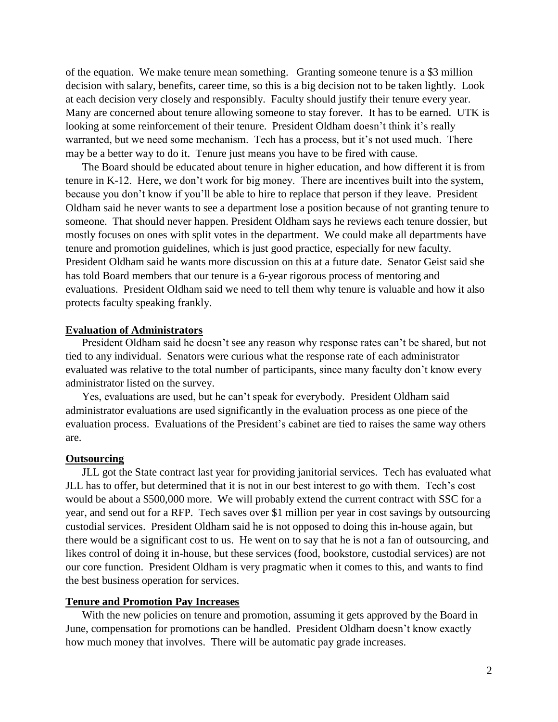of the equation. We make tenure mean something. Granting someone tenure is a \$3 million decision with salary, benefits, career time, so this is a big decision not to be taken lightly. Look at each decision very closely and responsibly. Faculty should justify their tenure every year. Many are concerned about tenure allowing someone to stay forever. It has to be earned. UTK is looking at some reinforcement of their tenure. President Oldham doesn't think it's really warranted, but we need some mechanism. Tech has a process, but it's not used much. There may be a better way to do it. Tenure just means you have to be fired with cause.

The Board should be educated about tenure in higher education, and how different it is from tenure in K-12. Here, we don't work for big money. There are incentives built into the system, because you don't know if you'll be able to hire to replace that person if they leave. President Oldham said he never wants to see a department lose a position because of not granting tenure to someone. That should never happen. President Oldham says he reviews each tenure dossier, but mostly focuses on ones with split votes in the department. We could make all departments have tenure and promotion guidelines, which is just good practice, especially for new faculty. President Oldham said he wants more discussion on this at a future date. Senator Geist said she has told Board members that our tenure is a 6-year rigorous process of mentoring and evaluations. President Oldham said we need to tell them why tenure is valuable and how it also protects faculty speaking frankly.

### **Evaluation of Administrators**

President Oldham said he doesn't see any reason why response rates can't be shared, but not tied to any individual. Senators were curious what the response rate of each administrator evaluated was relative to the total number of participants, since many faculty don't know every administrator listed on the survey.

Yes, evaluations are used, but he can't speak for everybody. President Oldham said administrator evaluations are used significantly in the evaluation process as one piece of the evaluation process. Evaluations of the President's cabinet are tied to raises the same way others are.

#### **Outsourcing**

JLL got the State contract last year for providing janitorial services. Tech has evaluated what JLL has to offer, but determined that it is not in our best interest to go with them. Tech's cost would be about a \$500,000 more. We will probably extend the current contract with SSC for a year, and send out for a RFP. Tech saves over \$1 million per year in cost savings by outsourcing custodial services. President Oldham said he is not opposed to doing this in-house again, but there would be a significant cost to us. He went on to say that he is not a fan of outsourcing, and likes control of doing it in-house, but these services (food, bookstore, custodial services) are not our core function. President Oldham is very pragmatic when it comes to this, and wants to find the best business operation for services.

### **Tenure and Promotion Pay Increases**

With the new policies on tenure and promotion, assuming it gets approved by the Board in June, compensation for promotions can be handled. President Oldham doesn't know exactly how much money that involves. There will be automatic pay grade increases.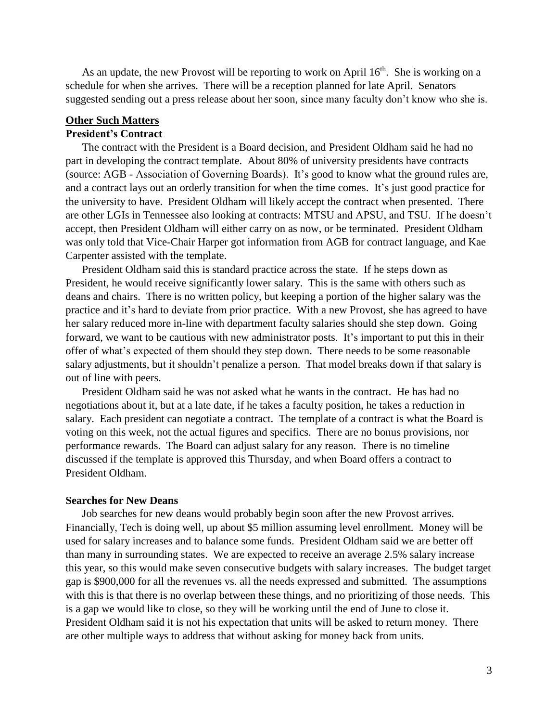As an update, the new Provost will be reporting to work on April  $16<sup>th</sup>$ . She is working on a schedule for when she arrives. There will be a reception planned for late April. Senators suggested sending out a press release about her soon, since many faculty don't know who she is.

# **Other Such Matters**

# **President's Contract**

The contract with the President is a Board decision, and President Oldham said he had no part in developing the contract template. About 80% of university presidents have contracts (source: AGB - Association of Governing Boards). It's good to know what the ground rules are, and a contract lays out an orderly transition for when the time comes. It's just good practice for the university to have. President Oldham will likely accept the contract when presented. There are other LGIs in Tennessee also looking at contracts: MTSU and APSU, and TSU. If he doesn't accept, then President Oldham will either carry on as now, or be terminated. President Oldham was only told that Vice-Chair Harper got information from AGB for contract language, and Kae Carpenter assisted with the template.

President Oldham said this is standard practice across the state. If he steps down as President, he would receive significantly lower salary. This is the same with others such as deans and chairs. There is no written policy, but keeping a portion of the higher salary was the practice and it's hard to deviate from prior practice. With a new Provost, she has agreed to have her salary reduced more in-line with department faculty salaries should she step down. Going forward, we want to be cautious with new administrator posts. It's important to put this in their offer of what's expected of them should they step down. There needs to be some reasonable salary adjustments, but it shouldn't penalize a person. That model breaks down if that salary is out of line with peers.

President Oldham said he was not asked what he wants in the contract. He has had no negotiations about it, but at a late date, if he takes a faculty position, he takes a reduction in salary. Each president can negotiate a contract. The template of a contract is what the Board is voting on this week, not the actual figures and specifics. There are no bonus provisions, nor performance rewards. The Board can adjust salary for any reason. There is no timeline discussed if the template is approved this Thursday, and when Board offers a contract to President Oldham.

### **Searches for New Deans**

Job searches for new deans would probably begin soon after the new Provost arrives. Financially, Tech is doing well, up about \$5 million assuming level enrollment. Money will be used for salary increases and to balance some funds. President Oldham said we are better off than many in surrounding states. We are expected to receive an average 2.5% salary increase this year, so this would make seven consecutive budgets with salary increases. The budget target gap is \$900,000 for all the revenues vs. all the needs expressed and submitted. The assumptions with this is that there is no overlap between these things, and no prioritizing of those needs. This is a gap we would like to close, so they will be working until the end of June to close it. President Oldham said it is not his expectation that units will be asked to return money. There are other multiple ways to address that without asking for money back from units.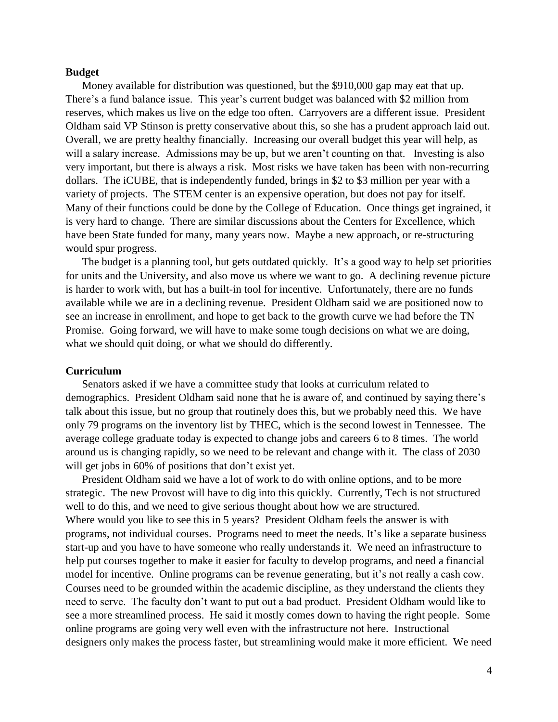#### **Budget**

Money available for distribution was questioned, but the \$910,000 gap may eat that up. There's a fund balance issue. This year's current budget was balanced with \$2 million from reserves, which makes us live on the edge too often. Carryovers are a different issue. President Oldham said VP Stinson is pretty conservative about this, so she has a prudent approach laid out. Overall, we are pretty healthy financially. Increasing our overall budget this year will help, as will a salary increase. Admissions may be up, but we aren't counting on that. Investing is also very important, but there is always a risk. Most risks we have taken has been with non-recurring dollars. The iCUBE, that is independently funded, brings in \$2 to \$3 million per year with a variety of projects. The STEM center is an expensive operation, but does not pay for itself. Many of their functions could be done by the College of Education. Once things get ingrained, it is very hard to change. There are similar discussions about the Centers for Excellence, which have been State funded for many, many years now. Maybe a new approach, or re-structuring would spur progress.

The budget is a planning tool, but gets outdated quickly. It's a good way to help set priorities for units and the University, and also move us where we want to go. A declining revenue picture is harder to work with, but has a built-in tool for incentive. Unfortunately, there are no funds available while we are in a declining revenue. President Oldham said we are positioned now to see an increase in enrollment, and hope to get back to the growth curve we had before the TN Promise. Going forward, we will have to make some tough decisions on what we are doing, what we should quit doing, or what we should do differently.

#### **Curriculum**

Senators asked if we have a committee study that looks at curriculum related to demographics. President Oldham said none that he is aware of, and continued by saying there's talk about this issue, but no group that routinely does this, but we probably need this. We have only 79 programs on the inventory list by THEC, which is the second lowest in Tennessee. The average college graduate today is expected to change jobs and careers 6 to 8 times. The world around us is changing rapidly, so we need to be relevant and change with it. The class of 2030 will get jobs in 60% of positions that don't exist yet.

President Oldham said we have a lot of work to do with online options, and to be more strategic. The new Provost will have to dig into this quickly. Currently, Tech is not structured well to do this, and we need to give serious thought about how we are structured. Where would you like to see this in 5 years? President Oldham feels the answer is with programs, not individual courses. Programs need to meet the needs. It's like a separate business start-up and you have to have someone who really understands it. We need an infrastructure to help put courses together to make it easier for faculty to develop programs, and need a financial model for incentive. Online programs can be revenue generating, but it's not really a cash cow. Courses need to be grounded within the academic discipline, as they understand the clients they need to serve. The faculty don't want to put out a bad product. President Oldham would like to see a more streamlined process. He said it mostly comes down to having the right people. Some online programs are going very well even with the infrastructure not here. Instructional designers only makes the process faster, but streamlining would make it more efficient. We need